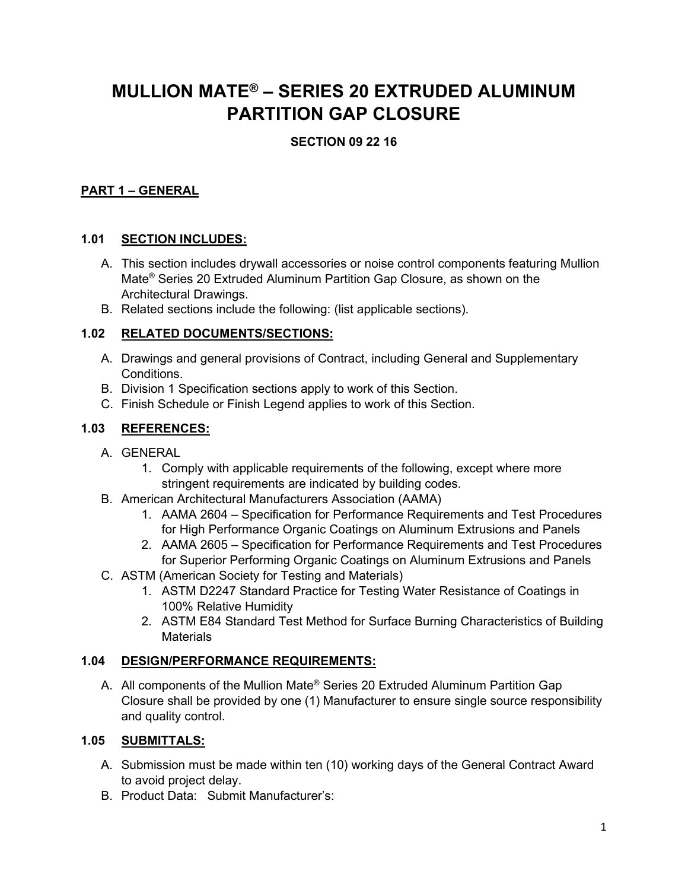# **MULLION MATE® – SERIES 20 EXTRUDED ALUMINUM PARTITION GAP CLOSURE**

# **SECTION 09 22 16**

## **PART 1 – GENERAL**

## **1.01 SECTION INCLUDES:**

- A. This section includes drywall accessories or noise control components featuring Mullion Mate® Series 20 Extruded Aluminum Partition Gap Closure, as shown on the Architectural Drawings.
- B. Related sections include the following: (list applicable sections).

#### **1.02 RELATED DOCUMENTS/SECTIONS:**

- A. Drawings and general provisions of Contract, including General and Supplementary **Conditions**
- B. Division 1 Specification sections apply to work of this Section.
- C. Finish Schedule or Finish Legend applies to work of this Section.

## **1.03 REFERENCES:**

- A. GENERAL
	- 1. Comply with applicable requirements of the following, except where more stringent requirements are indicated by building codes.
- B. American Architectural Manufacturers Association (AAMA)
	- 1. AAMA 2604 Specification for Performance Requirements and Test Procedures for High Performance Organic Coatings on Aluminum Extrusions and Panels
	- 2. AAMA 2605 Specification for Performance Requirements and Test Procedures for Superior Performing Organic Coatings on Aluminum Extrusions and Panels
- C. ASTM (American Society for Testing and Materials)
	- 1. ASTM D2247 Standard Practice for Testing Water Resistance of Coatings in 100% Relative Humidity
	- 2. ASTM E84 Standard Test Method for Surface Burning Characteristics of Building **Materials**

## **1.04 DESIGN/PERFORMANCE REQUIREMENTS:**

A. All components of the Mullion Mate® Series 20 Extruded Aluminum Partition Gap Closure shall be provided by one (1) Manufacturer to ensure single source responsibility and quality control.

## **1.05 SUBMITTALS:**

- A. Submission must be made within ten (10) working days of the General Contract Award to avoid project delay.
- B. Product Data: Submit Manufacturer's: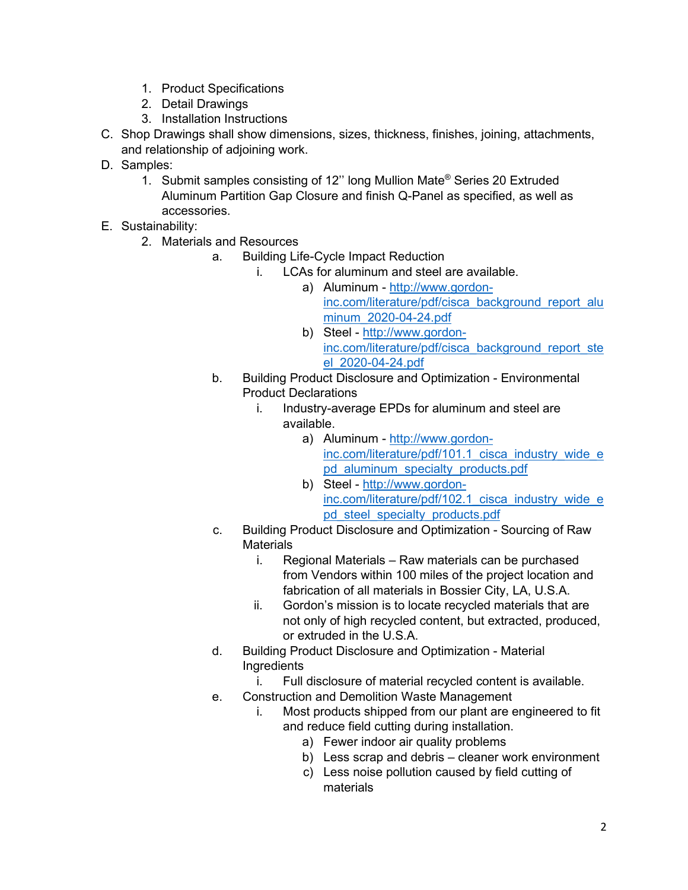- 1. Product Specifications
- 2. Detail Drawings
- 3. Installation Instructions
- C. Shop Drawings shall show dimensions, sizes, thickness, finishes, joining, attachments, and relationship of adjoining work.
- D. Samples:
	- 1. Submit samples consisting of 12'' long Mullion Mate® Series 20 Extruded Aluminum Partition Gap Closure and finish Q-Panel as specified, as well as accessories.
- E. Sustainability:
	- 2. Materials and Resources
		- a. Building Life-Cycle Impact Reduction
			- i. LCAs for aluminum and steel are available.
				- a) Aluminum [http://www.gordon](http://www.gordon-inc.com/literature/pdf/cisca_background_report_aluminum_2020-04-24.pdf)[inc.com/literature/pdf/cisca\\_background\\_report\\_alu](http://www.gordon-inc.com/literature/pdf/cisca_background_report_aluminum_2020-04-24.pdf) [minum\\_2020-04-24.pdf](http://www.gordon-inc.com/literature/pdf/cisca_background_report_aluminum_2020-04-24.pdf)
				- b) Steel [http://www.gordon](http://www.gordon-inc.com/literature/pdf/cisca_background_report_steel_2020-04-24.pdf)[inc.com/literature/pdf/cisca\\_background\\_report\\_ste](http://www.gordon-inc.com/literature/pdf/cisca_background_report_steel_2020-04-24.pdf) [el\\_2020-04-24.pdf](http://www.gordon-inc.com/literature/pdf/cisca_background_report_steel_2020-04-24.pdf)
		- b. Building Product Disclosure and Optimization Environmental Product Declarations
			- i. Industry-average EPDs for aluminum and steel are available.
				- a) Aluminum [http://www.gordon](http://www.gordon-inc.com/literature/pdf/101.1_cisca_industry_wide_epd_aluminum_specialty_products.pdf)inc.com/literature/pdf/101.1 cisca\_industry\_wide\_e [pd\\_aluminum\\_specialty\\_products.pdf](http://www.gordon-inc.com/literature/pdf/101.1_cisca_industry_wide_epd_aluminum_specialty_products.pdf)
				- b) Steel [http://www.gordon](http://www.gordon-inc.com/literature/pdf/102.1_cisca_industry_wide_epd_steel_specialty_products.pdf)inc.com/literature/pdf/102.1 cisca\_industry\_wide\_e [pd\\_steel\\_specialty\\_products.pdf](http://www.gordon-inc.com/literature/pdf/102.1_cisca_industry_wide_epd_steel_specialty_products.pdf)
		- c. Building Product Disclosure and Optimization Sourcing of Raw **Materials** 
			- i. Regional Materials Raw materials can be purchased from Vendors within 100 miles of the project location and fabrication of all materials in Bossier City, LA, U.S.A.
			- ii. Gordon's mission is to locate recycled materials that are not only of high recycled content, but extracted, produced, or extruded in the U.S.A.
		- d. Building Product Disclosure and Optimization Material **Ingredients** 
			- i. Full disclosure of material recycled content is available.
		- e. Construction and Demolition Waste Management
			- i. Most products shipped from our plant are engineered to fit and reduce field cutting during installation.
				- a) Fewer indoor air quality problems
				- b) Less scrap and debris cleaner work environment
				- c) Less noise pollution caused by field cutting of materials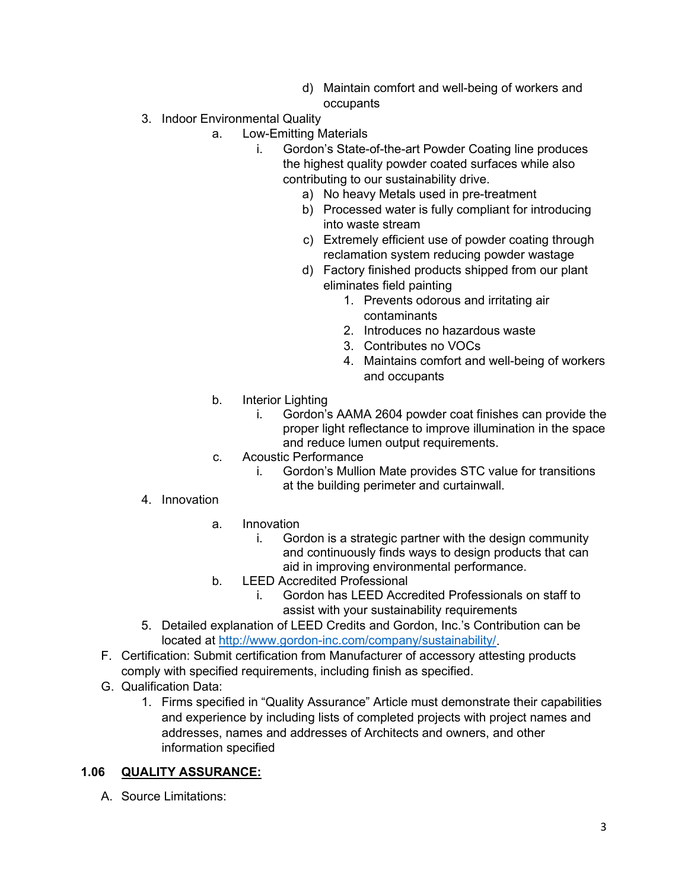- d) Maintain comfort and well-being of workers and occupants
- 3. Indoor Environmental Quality
	- a. Low-Emitting Materials
		- i. Gordon's State-of-the-art Powder Coating line produces the highest quality powder coated surfaces while also contributing to our sustainability drive.
			- a) No heavy Metals used in pre-treatment
			- b) Processed water is fully compliant for introducing into waste stream
			- c) Extremely efficient use of powder coating through reclamation system reducing powder wastage
			- d) Factory finished products shipped from our plant eliminates field painting
				- 1. Prevents odorous and irritating air contaminants
				- 2. Introduces no hazardous waste
				- 3. Contributes no VOCs
				- 4. Maintains comfort and well-being of workers and occupants
	- b. Interior Lighting
		- i. Gordon's AAMA 2604 powder coat finishes can provide the proper light reflectance to improve illumination in the space and reduce lumen output requirements.
	- c. Acoustic Performance
		- i. Gordon's Mullion Mate provides STC value for transitions at the building perimeter and curtainwall.
- 4. Innovation
	- a. Innovation
		- i. Gordon is a strategic partner with the design community and continuously finds ways to design products that can aid in improving environmental performance.
	- b. LEED Accredited Professional
		- i. Gordon has LEED Accredited Professionals on staff to assist with your sustainability requirements
- 5. Detailed explanation of LEED Credits and Gordon, Inc.'s Contribution can be located at [http://www.gordon-inc.com/company/sustainability/.](http://www.gordon-inc.com/company/sustainability/)
- F. Certification: Submit certification from Manufacturer of accessory attesting products comply with specified requirements, including finish as specified.
- G. Qualification Data:
	- 1. Firms specified in "Quality Assurance" Article must demonstrate their capabilities and experience by including lists of completed projects with project names and addresses, names and addresses of Architects and owners, and other information specified

#### **1.06 QUALITY ASSURANCE:**

A. Source Limitations: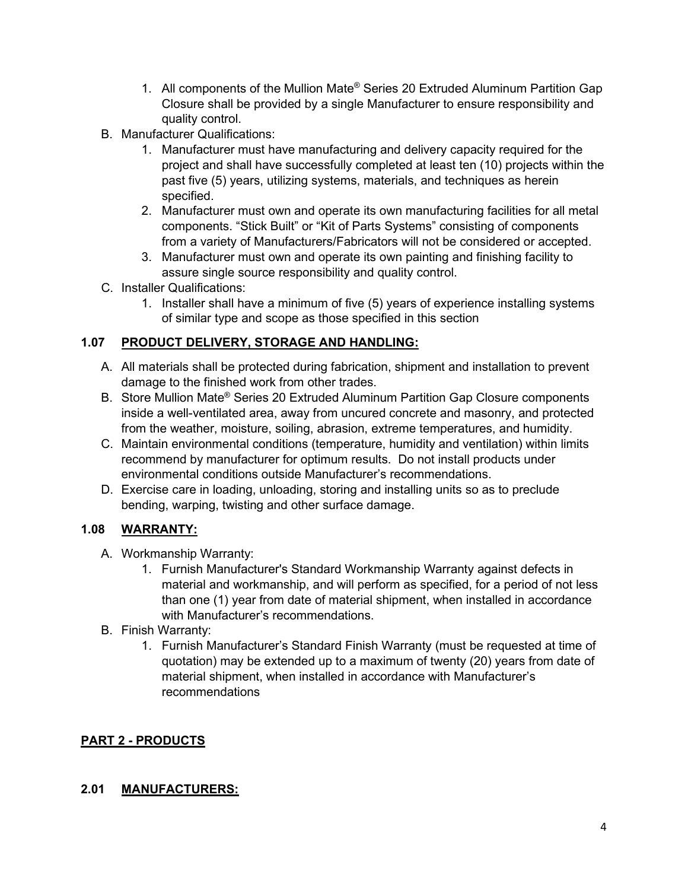- 1. All components of the Mullion Mate® Series 20 Extruded Aluminum Partition Gap Closure shall be provided by a single Manufacturer to ensure responsibility and quality control.
- B. Manufacturer Qualifications:
	- 1. Manufacturer must have manufacturing and delivery capacity required for the project and shall have successfully completed at least ten (10) projects within the past five (5) years, utilizing systems, materials, and techniques as herein specified.
	- 2. Manufacturer must own and operate its own manufacturing facilities for all metal components. "Stick Built" or "Kit of Parts Systems" consisting of components from a variety of Manufacturers/Fabricators will not be considered or accepted.
	- 3. Manufacturer must own and operate its own painting and finishing facility to assure single source responsibility and quality control.
- C. Installer Qualifications:
	- 1. Installer shall have a minimum of five (5) years of experience installing systems of similar type and scope as those specified in this section

## **1.07 PRODUCT DELIVERY, STORAGE AND HANDLING:**

- A. All materials shall be protected during fabrication, shipment and installation to prevent damage to the finished work from other trades.
- B. Store Mullion Mate® Series 20 Extruded Aluminum Partition Gap Closure components inside a well-ventilated area, away from uncured concrete and masonry, and protected from the weather, moisture, soiling, abrasion, extreme temperatures, and humidity.
- C. Maintain environmental conditions (temperature, humidity and ventilation) within limits recommend by manufacturer for optimum results. Do not install products under environmental conditions outside Manufacturer's recommendations.
- D. Exercise care in loading, unloading, storing and installing units so as to preclude bending, warping, twisting and other surface damage.

## **1.08 WARRANTY:**

- A. Workmanship Warranty:
	- 1. Furnish Manufacturer's Standard Workmanship Warranty against defects in material and workmanship, and will perform as specified, for a period of not less than one (1) year from date of material shipment, when installed in accordance with Manufacturer's recommendations.
- B. Finish Warranty:
	- 1. Furnish Manufacturer's Standard Finish Warranty (must be requested at time of quotation) may be extended up to a maximum of twenty (20) years from date of material shipment, when installed in accordance with Manufacturer's recommendations

## **PART 2 - PRODUCTS**

## **2.01 MANUFACTURERS:**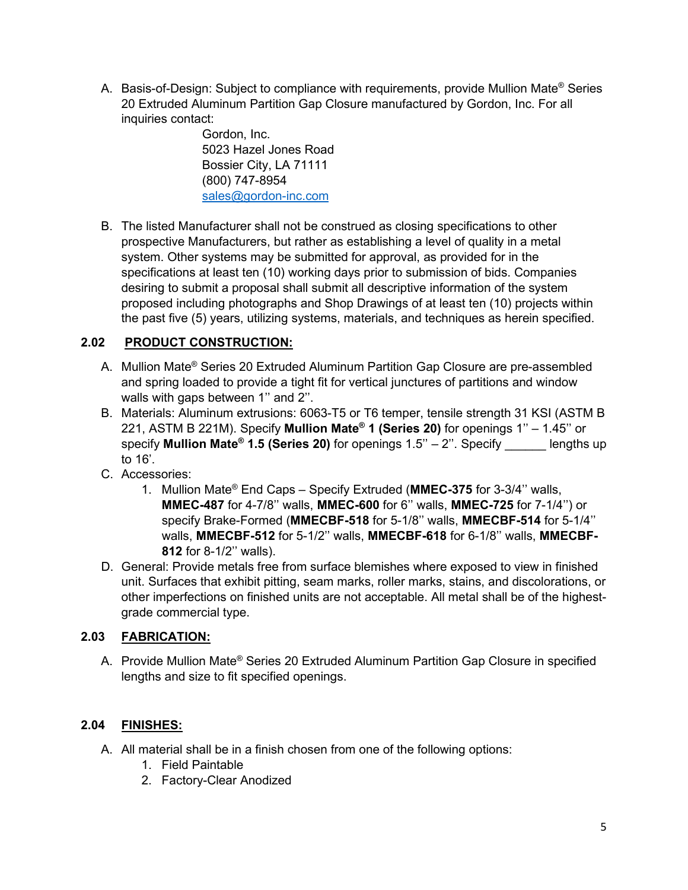A. Basis-of-Design: Subject to compliance with requirements, provide Mullion Mate® Series 20 Extruded Aluminum Partition Gap Closure manufactured by Gordon, Inc. For all inquiries contact:

> Gordon, Inc. 5023 Hazel Jones Road Bossier City, LA 71111 (800) 747-8954 [sales@gordon-inc.com](mailto:sales@gordon-inc.com)

B. The listed Manufacturer shall not be construed as closing specifications to other prospective Manufacturers, but rather as establishing a level of quality in a metal system. Other systems may be submitted for approval, as provided for in the specifications at least ten (10) working days prior to submission of bids. Companies desiring to submit a proposal shall submit all descriptive information of the system proposed including photographs and Shop Drawings of at least ten (10) projects within the past five (5) years, utilizing systems, materials, and techniques as herein specified.

## **2.02 PRODUCT CONSTRUCTION:**

- A. Mullion Mate® Series 20 Extruded Aluminum Partition Gap Closure are pre-assembled and spring loaded to provide a tight fit for vertical junctures of partitions and window walls with gaps between 1" and 2".
- B. Materials: Aluminum extrusions: 6063-T5 or T6 temper, tensile strength 31 KSI (ASTM B 221, ASTM B 221M). Specify **Mullion Mate® 1 (Series 20)** for openings 1'' – 1.45'' or specify **Mullion Mate® 1.5 (Series 20)** for openings 1.5'' – 2''. Specify \_\_\_\_\_\_ lengths up to 16'.
- C. Accessories:
	- 1. Mullion Mate® End Caps Specify Extruded (**MMEC-375** for 3-3/4'' walls, **MMEC-487** for 4-7/8'' walls, **MMEC-600** for 6'' walls, **MMEC-725** for 7-1/4'') or specify Brake-Formed (**MMECBF-518** for 5-1/8'' walls, **MMECBF-514** for 5-1/4'' walls, **MMECBF-512** for 5-1/2'' walls, **MMECBF-618** for 6-1/8'' walls, **MMECBF-812** for 8-1/2'' walls).
- D. General: Provide metals free from surface blemishes where exposed to view in finished unit. Surfaces that exhibit pitting, seam marks, roller marks, stains, and discolorations, or other imperfections on finished units are not acceptable. All metal shall be of the highestgrade commercial type.

# **2.03 FABRICATION:**

A. Provide Mullion Mate® Series 20 Extruded Aluminum Partition Gap Closure in specified lengths and size to fit specified openings.

# **2.04 FINISHES:**

- A. All material shall be in a finish chosen from one of the following options:
	- 1. Field Paintable
	- 2. Factory-Clear Anodized